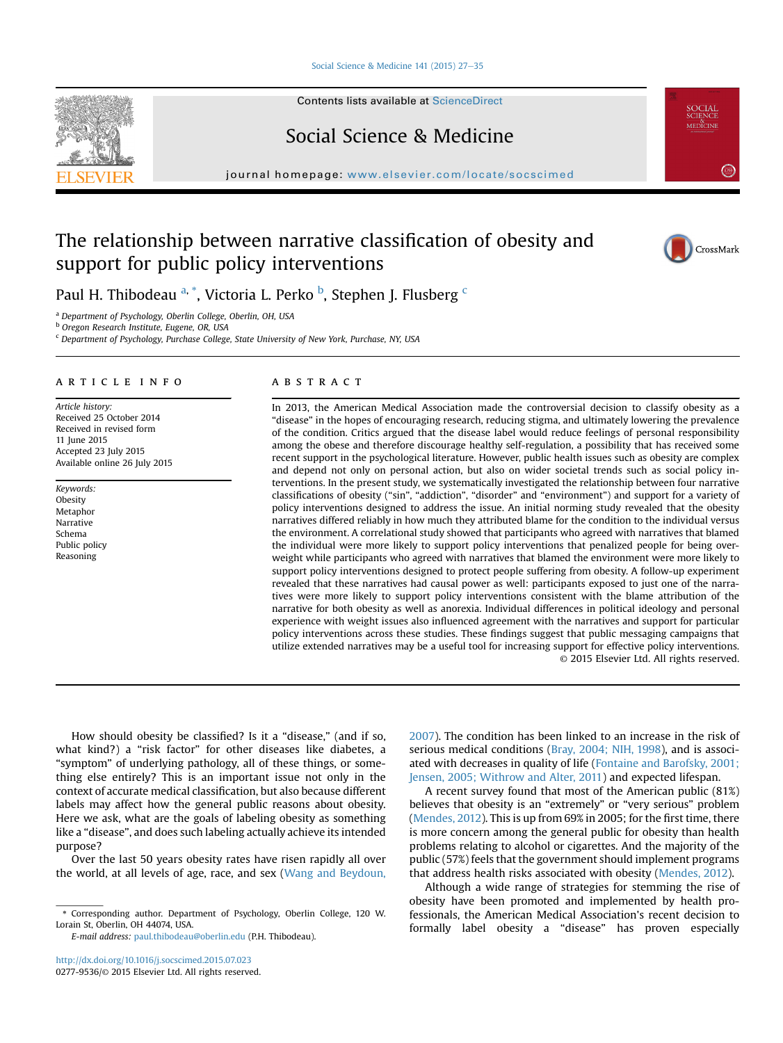#### [Social Science & Medicine 141 \(2015\) 27](http://dx.doi.org/10.1016/j.socscimed.2015.07.023)-[35](http://dx.doi.org/10.1016/j.socscimed.2015.07.023)

Contents lists available at [ScienceDirect](www.sciencedirect.com/science/journal/02779536)

## Social Science & Medicine

journal homepage: [www.elsevier.com/locate/socscimed](http://www.elsevier.com/locate/socscimed)

# The relationship between narrative classification of obesity and support for public policy interventions



Paul H. Thibodeau <sup>a, \*</sup>, Victoria L. Perko <sup>b</sup>, Stephen J. Flusberg <sup>c</sup>

<sup>a</sup> Department of Psychology, Oberlin College, Oberlin, OH, USA

**b** Oregon Research Institute, Eugene, OR, USA

<sup>c</sup> Department of Psychology, Purchase College, State University of New York, Purchase, NY, USA

#### article info

Article history: Received 25 October 2014 Received in revised form 11 June 2015 Accepted 23 July 2015 Available online 26 July 2015

Keywords: **Obesity** Metaphor Narrative Schema Public policy Reasoning

## **ABSTRACT**

In 2013, the American Medical Association made the controversial decision to classify obesity as a "disease" in the hopes of encouraging research, reducing stigma, and ultimately lowering the prevalence of the condition. Critics argued that the disease label would reduce feelings of personal responsibility among the obese and therefore discourage healthy self-regulation, a possibility that has received some recent support in the psychological literature. However, public health issues such as obesity are complex and depend not only on personal action, but also on wider societal trends such as social policy interventions. In the present study, we systematically investigated the relationship between four narrative classifications of obesity ("sin", "addiction", "disorder" and "environment") and support for a variety of policy interventions designed to address the issue. An initial norming study revealed that the obesity narratives differed reliably in how much they attributed blame for the condition to the individual versus the environment. A correlational study showed that participants who agreed with narratives that blamed the individual were more likely to support policy interventions that penalized people for being overweight while participants who agreed with narratives that blamed the environment were more likely to support policy interventions designed to protect people suffering from obesity. A follow-up experiment revealed that these narratives had causal power as well: participants exposed to just one of the narratives were more likely to support policy interventions consistent with the blame attribution of the narrative for both obesity as well as anorexia. Individual differences in political ideology and personal experience with weight issues also influenced agreement with the narratives and support for particular policy interventions across these studies. These findings suggest that public messaging campaigns that utilize extended narratives may be a useful tool for increasing support for effective policy interventions. © 2015 Elsevier Ltd. All rights reserved.

How should obesity be classified? Is it a "disease," (and if so, what kind?) a "risk factor" for other diseases like diabetes, a "symptom" of underlying pathology, all of these things, or something else entirely? This is an important issue not only in the context of accurate medical classification, but also because different labels may affect how the general public reasons about obesity. Here we ask, what are the goals of labeling obesity as something like a "disease", and does such labeling actually achieve its intended purpose?

Over the last 50 years obesity rates have risen rapidly all over the world, at all levels of age, race, and sex [\(Wang and Beydoun,](#page-8-0)

[2007\)](#page-8-0). The condition has been linked to an increase in the risk of serious medical conditions [\(Bray, 2004; NIH, 1998](#page-7-0)), and is associated with decreases in quality of life [\(Fontaine and Barofsky, 2001;](#page-7-0) [Jensen, 2005; Withrow and Alter, 2011](#page-7-0)) and expected lifespan.

A recent survey found that most of the American public (81%) believes that obesity is an "extremely" or "very serious" problem ([Mendes, 2012](#page-8-0)). This is up from 69% in 2005; for the first time, there is more concern among the general public for obesity than health problems relating to alcohol or cigarettes. And the majority of the public (57%) feels that the government should implement programs that address health risks associated with obesity [\(Mendes, 2012\)](#page-8-0).

Although a wide range of strategies for stemming the rise of obesity have been promoted and implemented by health professionals, the American Medical Association's recent decision to formally label obesity a "disease" has proven especially



<sup>\*</sup> Corresponding author. Department of Psychology, Oberlin College, 120 W. Lorain St, Oberlin, OH 44074, USA.

E-mail address: [paul.thibodeau@oberlin.edu](mailto:paul.thibodeau@oberlin.edu) (P.H. Thibodeau).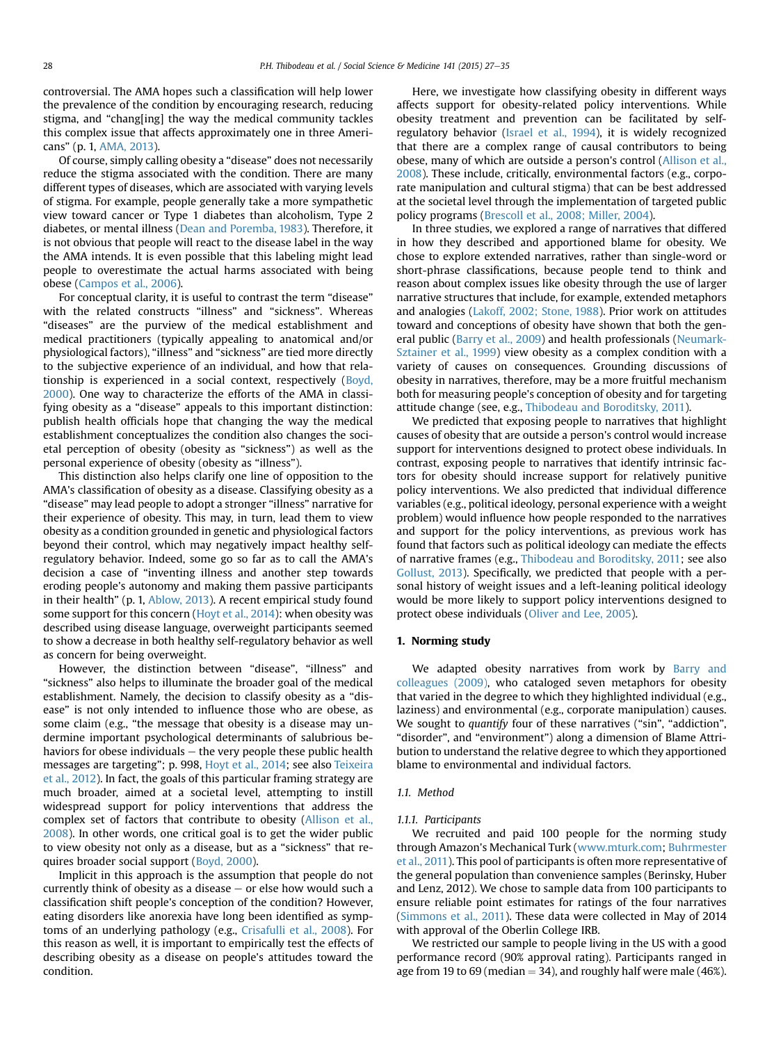controversial. The AMA hopes such a classification will help lower the prevalence of the condition by encouraging research, reducing stigma, and "chang[ing] the way the medical community tackles this complex issue that affects approximately one in three Americans" (p. 1, [AMA, 2013\)](#page-7-0).

Of course, simply calling obesity a "disease" does not necessarily reduce the stigma associated with the condition. There are many different types of diseases, which are associated with varying levels of stigma. For example, people generally take a more sympathetic view toward cancer or Type 1 diabetes than alcoholism, Type 2 diabetes, or mental illness ([Dean and Poremba, 1983\)](#page-7-0). Therefore, it is not obvious that people will react to the disease label in the way the AMA intends. It is even possible that this labeling might lead people to overestimate the actual harms associated with being obese ([Campos et al., 2006](#page-7-0)).

For conceptual clarity, it is useful to contrast the term "disease" with the related constructs "illness" and "sickness". Whereas "diseases" are the purview of the medical establishment and medical practitioners (typically appealing to anatomical and/or physiological factors), "illness" and "sickness" are tied more directly to the subjective experience of an individual, and how that relationship is experienced in a social context, respectively [\(Boyd,](#page-7-0) [2000](#page-7-0)). One way to characterize the efforts of the AMA in classifying obesity as a "disease" appeals to this important distinction: publish health officials hope that changing the way the medical establishment conceptualizes the condition also changes the societal perception of obesity (obesity as "sickness") as well as the personal experience of obesity (obesity as "illness").

This distinction also helps clarify one line of opposition to the AMA's classification of obesity as a disease. Classifying obesity as a "disease" may lead people to adopt a stronger "illness" narrative for their experience of obesity. This may, in turn, lead them to view obesity as a condition grounded in genetic and physiological factors beyond their control, which may negatively impact healthy selfregulatory behavior. Indeed, some go so far as to call the AMA's decision a case of "inventing illness and another step towards eroding people's autonomy and making them passive participants in their health" (p. 1, [Ablow, 2013](#page-7-0)). A recent empirical study found some support for this concern [\(Hoyt et al., 2014](#page-8-0)): when obesity was described using disease language, overweight participants seemed to show a decrease in both healthy self-regulatory behavior as well as concern for being overweight.

However, the distinction between "disease", "illness" and "sickness" also helps to illuminate the broader goal of the medical establishment. Namely, the decision to classify obesity as a "disease" is not only intended to influence those who are obese, as some claim (e.g., "the message that obesity is a disease may undermine important psychological determinants of salubrious behaviors for obese individuals  $-$  the very people these public health messages are targeting"; p. 998, [Hoyt et al., 2014](#page-8-0); see also [Teixeira](#page-8-0) [et al., 2012](#page-8-0)). In fact, the goals of this particular framing strategy are much broader, aimed at a societal level, attempting to instill widespread support for policy interventions that address the complex set of factors that contribute to obesity [\(Allison et al.,](#page-7-0) [2008](#page-7-0)). In other words, one critical goal is to get the wider public to view obesity not only as a disease, but as a "sickness" that requires broader social support [\(Boyd, 2000\)](#page-7-0).

Implicit in this approach is the assumption that people do not currently think of obesity as a disease  $-$  or else how would such a classification shift people's conception of the condition? However, eating disorders like anorexia have long been identified as symptoms of an underlying pathology (e.g., [Crisafulli et al., 2008\)](#page-7-0). For this reason as well, it is important to empirically test the effects of describing obesity as a disease on people's attitudes toward the condition.

Here, we investigate how classifying obesity in different ways affects support for obesity-related policy interventions. While obesity treatment and prevention can be facilitated by selfregulatory behavior [\(Israel et al., 1994](#page-8-0)), it is widely recognized that there are a complex range of causal contributors to being obese, many of which are outside a person's control [\(Allison et al.,](#page-7-0) [2008](#page-7-0)). These include, critically, environmental factors (e.g., corporate manipulation and cultural stigma) that can be best addressed at the societal level through the implementation of targeted public policy programs ([Brescoll et al., 2008; Miller, 2004\)](#page-7-0).

In three studies, we explored a range of narratives that differed in how they described and apportioned blame for obesity. We chose to explore extended narratives, rather than single-word or short-phrase classifications, because people tend to think and reason about complex issues like obesity through the use of larger narrative structures that include, for example, extended metaphors and analogies ([Lakoff, 2002; Stone, 1988\)](#page-8-0). Prior work on attitudes toward and conceptions of obesity have shown that both the general public [\(Barry et al., 2009\)](#page-7-0) and health professionals [\(Neumark-](#page-8-0)[Sztainer et al., 1999\)](#page-8-0) view obesity as a complex condition with a variety of causes on consequences. Grounding discussions of obesity in narratives, therefore, may be a more fruitful mechanism both for measuring people's conception of obesity and for targeting attitude change (see, e.g., [Thibodeau and Boroditsky, 2011](#page-8-0)).

We predicted that exposing people to narratives that highlight causes of obesity that are outside a person's control would increase support for interventions designed to protect obese individuals. In contrast, exposing people to narratives that identify intrinsic factors for obesity should increase support for relatively punitive policy interventions. We also predicted that individual difference variables (e.g., political ideology, personal experience with a weight problem) would influence how people responded to the narratives and support for the policy interventions, as previous work has found that factors such as political ideology can mediate the effects of narrative frames (e.g., [Thibodeau and Boroditsky, 2011;](#page-8-0) see also [Gollust, 2013](#page-8-0)). Specifically, we predicted that people with a personal history of weight issues and a left-leaning political ideology would be more likely to support policy interventions designed to protect obese individuals [\(Oliver and Lee, 2005](#page-8-0)).

## 1. Norming study

We adapted obesity narratives from work by [Barry and](#page-7-0) [colleagues \(2009\),](#page-7-0) who cataloged seven metaphors for obesity that varied in the degree to which they highlighted individual (e.g., laziness) and environmental (e.g., corporate manipulation) causes. We sought to quantify four of these narratives ("sin", "addiction", "disorder", and "environment") along a dimension of Blame Attribution to understand the relative degree to which they apportioned blame to environmental and individual factors.

## 1.1. Method

## 1.1.1. Participants

We recruited and paid 100 people for the norming study through Amazon's Mechanical Turk ([www.mturk.com;](http://www.mturk.com) [Buhrmester](#page-7-0) [et al., 2011\)](#page-7-0). This pool of participants is often more representative of the general population than convenience samples (Berinsky, Huber and Lenz, 2012). We chose to sample data from 100 participants to ensure reliable point estimates for ratings of the four narratives ([Simmons et al., 2011](#page-8-0)). These data were collected in May of 2014 with approval of the Oberlin College IRB.

We restricted our sample to people living in the US with a good performance record (90% approval rating). Participants ranged in age from 19 to 69 (median  $=$  34), and roughly half were male (46%).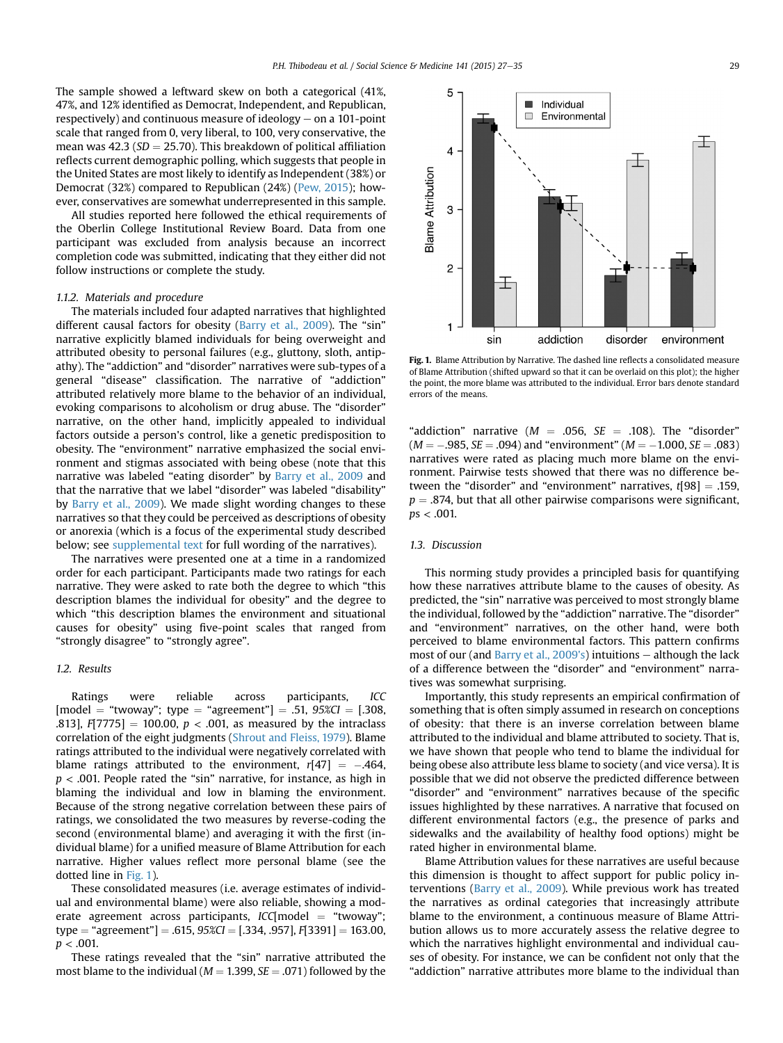The sample showed a leftward skew on both a categorical (41%, 47%, and 12% identified as Democrat, Independent, and Republican, respectively) and continuous measure of ideology  $-$  on a 101-point scale that ranged from 0, very liberal, to 100, very conservative, the mean was 42.3 ( $SD = 25.70$ ). This breakdown of political affiliation reflects current demographic polling, which suggests that people in the United States are most likely to identify as Independent (38%) or Democrat (32%) compared to Republican (24%) ([Pew, 2015](#page-8-0)); however, conservatives are somewhat underrepresented in this sample.

All studies reported here followed the ethical requirements of the Oberlin College Institutional Review Board. Data from one participant was excluded from analysis because an incorrect completion code was submitted, indicating that they either did not follow instructions or complete the study.

## 1.1.2. Materials and procedure

The materials included four adapted narratives that highlighted different causal factors for obesity [\(Barry et al., 2009\)](#page-7-0). The "sin" narrative explicitly blamed individuals for being overweight and attributed obesity to personal failures (e.g., gluttony, sloth, antipathy). The "addiction" and "disorder" narratives were sub-types of a general "disease" classification. The narrative of "addiction" attributed relatively more blame to the behavior of an individual, evoking comparisons to alcoholism or drug abuse. The "disorder" narrative, on the other hand, implicitly appealed to individual factors outside a person's control, like a genetic predisposition to obesity. The "environment" narrative emphasized the social environment and stigmas associated with being obese (note that this narrative was labeled "eating disorder" by [Barry et al., 2009](#page-7-0) and that the narrative that we label "disorder" was labeled "disability" by [Barry et al., 2009\)](#page-7-0). We made slight wording changes to these narratives so that they could be perceived as descriptions of obesity or anorexia (which is a focus of the experimental study described below; see supplemental text for full wording of the narratives).

The narratives were presented one at a time in a randomized order for each participant. Participants made two ratings for each narrative. They were asked to rate both the degree to which "this description blames the individual for obesity" and the degree to which "this description blames the environment and situational causes for obesity" using five-point scales that ranged from "strongly disagree" to "strongly agree".

## 1.2. Results

Ratings were reliable across participants, ICC  $[model = "twoway"; type = "agreement"] = .51, 95%CI = [.308,$ .813],  $F[7775] = 100.00$ ,  $p < .001$ , as measured by the intraclass correlation of the eight judgments [\(Shrout and Fleiss, 1979](#page-8-0)). Blame ratings attributed to the individual were negatively correlated with blame ratings attributed to the environment,  $r[47] = -.464$ ,  $p < .001$ . People rated the "sin" narrative, for instance, as high in blaming the individual and low in blaming the environment. Because of the strong negative correlation between these pairs of ratings, we consolidated the two measures by reverse-coding the second (environmental blame) and averaging it with the first (individual blame) for a unified measure of Blame Attribution for each narrative. Higher values reflect more personal blame (see the dotted line in Fig. 1).

These consolidated measures (i.e. average estimates of individual and environmental blame) were also reliable, showing a moderate agreement across participants,  $ICC$ [model = "twoway"; type = "agreement"  $] = .615, 95\%$ CI = [.334, .957], F[3391] = 163.00,  $p < .001$ .

These ratings revealed that the "sin" narrative attributed the most blame to the individual ( $M = 1.399$ ,  $SE = .071$ ) followed by the

Fig. 1. Blame Attribution by Narrative. The dashed line reflects a consolidated measure of Blame Attribution (shifted upward so that it can be overlaid on this plot); the higher the point, the more blame was attributed to the individual. Error bars denote standard errors of the means.

"addiction" narrative ( $M = .056$ ,  $SE = .108$ ). The "disorder"  $(M = -.985, SE = .094)$  and "environment"  $(M = -1.000, SE = .083)$ narratives were rated as placing much more blame on the environment. Pairwise tests showed that there was no difference between the "disorder" and "environment" narratives,  $t[98] = .159$ ,  $p = .874$ , but that all other pairwise comparisons were significant,  $ps < .001$ .

## 1.3. Discussion

This norming study provides a principled basis for quantifying how these narratives attribute blame to the causes of obesity. As predicted, the "sin" narrative was perceived to most strongly blame the individual, followed by the "addiction" narrative. The "disorder" and "environment" narratives, on the other hand, were both perceived to blame environmental factors. This pattern confirms most of our (and Barry et al.,  $2009's$ ) intuitions  $-$  although the lack of a difference between the "disorder" and "environment" narratives was somewhat surprising.

Importantly, this study represents an empirical confirmation of something that is often simply assumed in research on conceptions of obesity: that there is an inverse correlation between blame attributed to the individual and blame attributed to society. That is, we have shown that people who tend to blame the individual for being obese also attribute less blame to society (and vice versa). It is possible that we did not observe the predicted difference between "disorder" and "environment" narratives because of the specific issues highlighted by these narratives. A narrative that focused on different environmental factors (e.g., the presence of parks and sidewalks and the availability of healthy food options) might be rated higher in environmental blame.

Blame Attribution values for these narratives are useful because this dimension is thought to affect support for public policy interventions ([Barry et al., 2009](#page-7-0)). While previous work has treated the narratives as ordinal categories that increasingly attribute blame to the environment, a continuous measure of Blame Attribution allows us to more accurately assess the relative degree to which the narratives highlight environmental and individual causes of obesity. For instance, we can be confident not only that the "addiction" narrative attributes more blame to the individual than

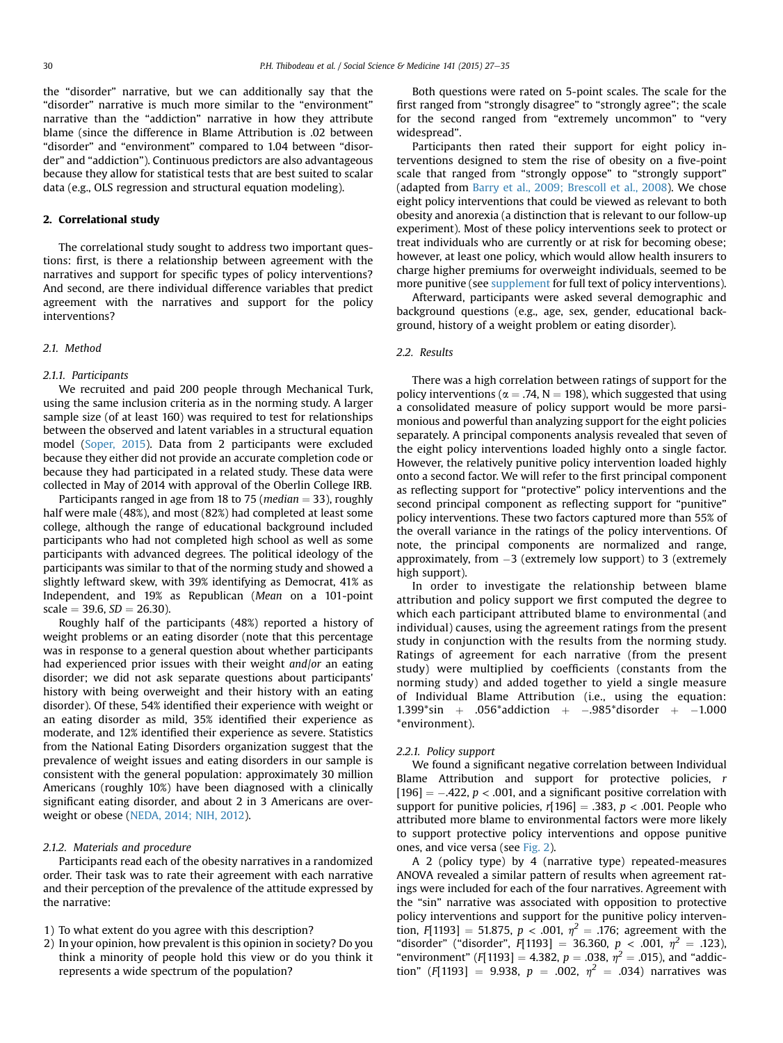the "disorder" narrative, but we can additionally say that the "disorder" narrative is much more similar to the "environment" narrative than the "addiction" narrative in how they attribute blame (since the difference in Blame Attribution is .02 between "disorder" and "environment" compared to 1.04 between "disorder" and "addiction"). Continuous predictors are also advantageous because they allow for statistical tests that are best suited to scalar data (e.g., OLS regression and structural equation modeling).

## 2. Correlational study

The correlational study sought to address two important questions: first, is there a relationship between agreement with the narratives and support for specific types of policy interventions? And second, are there individual difference variables that predict agreement with the narratives and support for the policy interventions?

## 2.1. Method

## 2.1.1. Participants

We recruited and paid 200 people through Mechanical Turk, using the same inclusion criteria as in the norming study. A larger sample size (of at least 160) was required to test for relationships between the observed and latent variables in a structural equation model ([Soper, 2015\)](#page-8-0). Data from 2 participants were excluded because they either did not provide an accurate completion code or because they had participated in a related study. These data were collected in May of 2014 with approval of the Oberlin College IRB.

Participants ranged in age from 18 to 75 (*median*  $=$  33), roughly half were male (48%), and most (82%) had completed at least some college, although the range of educational background included participants who had not completed high school as well as some participants with advanced degrees. The political ideology of the participants was similar to that of the norming study and showed a slightly leftward skew, with 39% identifying as Democrat, 41% as Independent, and 19% as Republican (Mean on a 101-point  $scale = 39.6, SD = 26.30$ .

Roughly half of the participants (48%) reported a history of weight problems or an eating disorder (note that this percentage was in response to a general question about whether participants had experienced prior issues with their weight and/or an eating disorder; we did not ask separate questions about participants' history with being overweight and their history with an eating disorder). Of these, 54% identified their experience with weight or an eating disorder as mild, 35% identified their experience as moderate, and 12% identified their experience as severe. Statistics from the National Eating Disorders organization suggest that the prevalence of weight issues and eating disorders in our sample is consistent with the general population: approximately 30 million Americans (roughly 10%) have been diagnosed with a clinically significant eating disorder, and about 2 in 3 Americans are overweight or obese ([NEDA, 2014; NIH, 2012](#page-8-0)).

## 2.1.2. Materials and procedure

Participants read each of the obesity narratives in a randomized order. Their task was to rate their agreement with each narrative and their perception of the prevalence of the attitude expressed by the narrative:

- 1) To what extent do you agree with this description?
- 2) In your opinion, how prevalent is this opinion in society? Do you think a minority of people hold this view or do you think it represents a wide spectrum of the population?

Both questions were rated on 5-point scales. The scale for the first ranged from "strongly disagree" to "strongly agree"; the scale for the second ranged from "extremely uncommon" to "very widespread".

Participants then rated their support for eight policy interventions designed to stem the rise of obesity on a five-point scale that ranged from "strongly oppose" to "strongly support" (adapted from [Barry et al., 2009; Brescoll et al., 2008\)](#page-7-0). We chose eight policy interventions that could be viewed as relevant to both obesity and anorexia (a distinction that is relevant to our follow-up experiment). Most of these policy interventions seek to protect or treat individuals who are currently or at risk for becoming obese; however, at least one policy, which would allow health insurers to charge higher premiums for overweight individuals, seemed to be more punitive (see supplement for full text of policy interventions).

Afterward, participants were asked several demographic and background questions (e.g., age, sex, gender, educational background, history of a weight problem or eating disorder).

## 2.2. Results

There was a high correlation between ratings of support for the policy interventions ( $\alpha = .74$ , N = 198), which suggested that using a consolidated measure of policy support would be more parsimonious and powerful than analyzing support for the eight policies separately. A principal components analysis revealed that seven of the eight policy interventions loaded highly onto a single factor. However, the relatively punitive policy intervention loaded highly onto a second factor. We will refer to the first principal component as reflecting support for "protective" policy interventions and the second principal component as reflecting support for "punitive" policy interventions. These two factors captured more than 55% of the overall variance in the ratings of the policy interventions. Of note, the principal components are normalized and range, approximately, from -3 (extremely low support) to 3 (extremely high support).

In order to investigate the relationship between blame attribution and policy support we first computed the degree to which each participant attributed blame to environmental (and individual) causes, using the agreement ratings from the present study in conjunction with the results from the norming study. Ratings of agreement for each narrative (from the present study) were multiplied by coefficients (constants from the norming study) and added together to yield a single measure of Individual Blame Attribution (i.e., using the equation:  $1.399*sin + .056*$ addiction + -.985\*disorder + -1.000 \*environment).

## 2.2.1. Policy support

We found a significant negative correlation between Individual Blame Attribution and support for protective policies, r  $[196] = -.422, p < .001,$  and a significant positive correlation with support for punitive policies,  $r[196] = .383$ ,  $p < .001$ . People who attributed more blame to environmental factors were more likely to support protective policy interventions and oppose punitive ones, and vice versa (see [Fig. 2](#page-4-0)).

A 2 (policy type) by 4 (narrative type) repeated-measures ANOVA revealed a similar pattern of results when agreement ratings were included for each of the four narratives. Agreement with the "sin" narrative was associated with opposition to protective policy interventions and support for the punitive policy intervention, F[1193] = 51.875,  $p < .001$ ,  $\eta^2 = .176$ ; agreement with the "disorder" ("disorder", F[1193] = 36.360, p < .001,  $\eta^2$  = .123), "environment" (F[1193] = 4.382,  $p = .038$ ,  $\eta^2 = .015$ ), and "addiction" (F[1193] = 9.938,  $p = .002$ ,  $\eta^2 = .034$ ) narratives was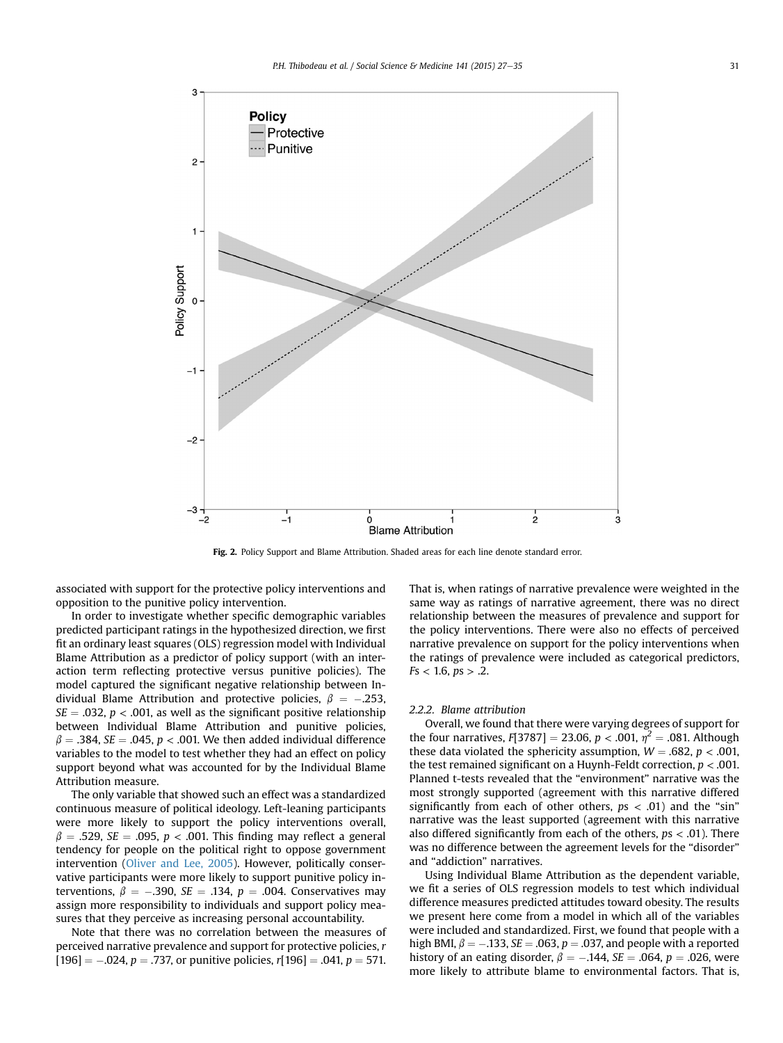<span id="page-4-0"></span>

Fig. 2. Policy Support and Blame Attribution. Shaded areas for each line denote standard error.

associated with support for the protective policy interventions and opposition to the punitive policy intervention.

In order to investigate whether specific demographic variables predicted participant ratings in the hypothesized direction, we first fit an ordinary least squares (OLS) regression model with Individual Blame Attribution as a predictor of policy support (with an interaction term reflecting protective versus punitive policies). The model captured the significant negative relationship between Individual Blame Attribution and protective policies,  $\beta = -.253$ ,  $SE = .032$ ,  $p < .001$ , as well as the significant positive relationship between Individual Blame Attribution and punitive policies,  $\beta = .384$ , SE = .045, p < .001. We then added individual difference variables to the model to test whether they had an effect on policy support beyond what was accounted for by the Individual Blame Attribution measure.

The only variable that showed such an effect was a standardized continuous measure of political ideology. Left-leaning participants were more likely to support the policy interventions overall,  $\beta = .529$ , SE = .095, p < .001. This finding may reflect a general tendency for people on the political right to oppose government intervention ([Oliver and Lee, 2005](#page-8-0)). However, politically conservative participants were more likely to support punitive policy interventions,  $\beta = -.390, \: SE = .134, \: p = .004.$  Conservatives may assign more responsibility to individuals and support policy measures that they perceive as increasing personal accountability.

Note that there was no correlation between the measures of perceived narrative prevalence and support for protective policies, r [196] =  $-.024$ ,  $p = .737$ , or punitive policies, r[196] = .041,  $p = 571$ .

That is, when ratings of narrative prevalence were weighted in the same way as ratings of narrative agreement, there was no direct relationship between the measures of prevalence and support for the policy interventions. There were also no effects of perceived narrative prevalence on support for the policy interventions when the ratings of prevalence were included as categorical predictors,  $Fs < 1.6, ps > .2.$ 

## 2.2.2. Blame attribution

Overall, we found that there were varying degrees of support for the four narratives,  $F[3787] = 23.06$ ,  $p < .001$ ,  $\eta^2 = .081$ . Although these data violated the sphericity assumption,  $W = .682$ ,  $p < .001$ , the test remained significant on a Huynh-Feldt correction,  $p < .001$ . Planned t-tests revealed that the "environment" narrative was the most strongly supported (agreement with this narrative differed significantly from each of other others,  $ps < .01$ ) and the "sin" narrative was the least supported (agreement with this narrative also differed significantly from each of the others,  $ps < .01$ ). There was no difference between the agreement levels for the "disorder" and "addiction" narratives.

Using Individual Blame Attribution as the dependent variable, we fit a series of OLS regression models to test which individual difference measures predicted attitudes toward obesity. The results we present here come from a model in which all of the variables were included and standardized. First, we found that people with a high BMI,  $\beta = -.133$ , SE = .063,  $p = .037$ , and people with a reported history of an eating disorder,  $\beta = -.144$ ,  $SE = .064$ ,  $p = .026$ , were more likely to attribute blame to environmental factors. That is,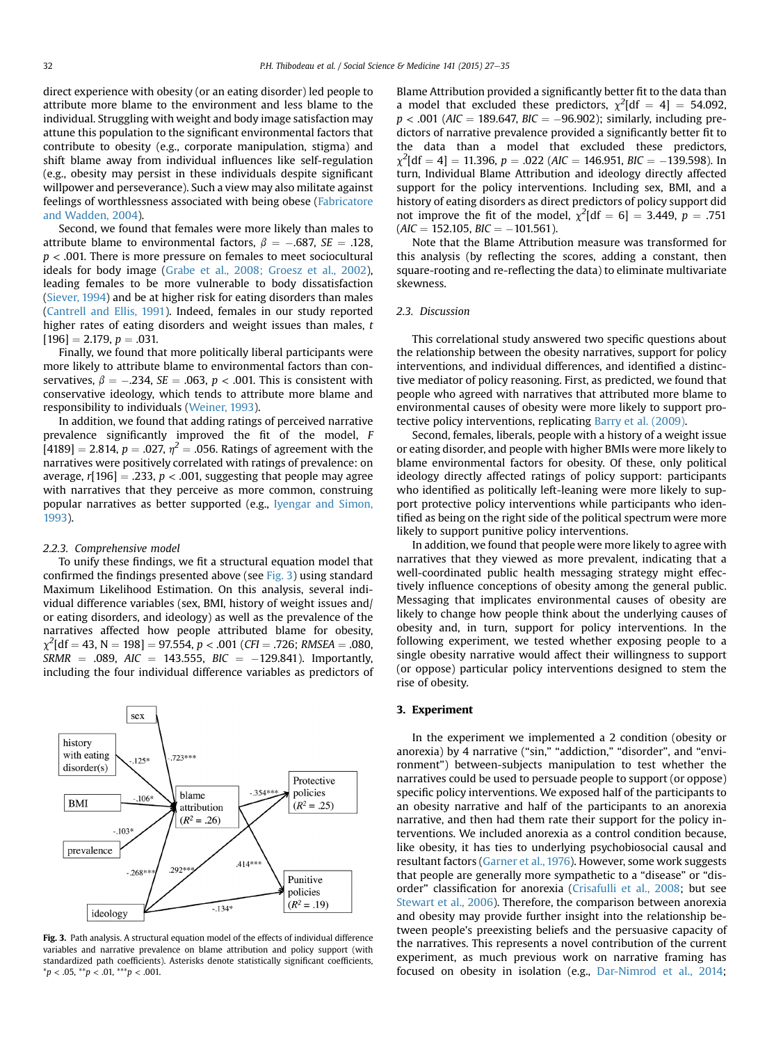direct experience with obesity (or an eating disorder) led people to attribute more blame to the environment and less blame to the individual. Struggling with weight and body image satisfaction may attune this population to the significant environmental factors that contribute to obesity (e.g., corporate manipulation, stigma) and shift blame away from individual influences like self-regulation (e.g., obesity may persist in these individuals despite significant willpower and perseverance). Such a view may also militate against feelings of worthlessness associated with being obese ([Fabricatore](#page-7-0) [and Wadden, 2004\)](#page-7-0).

Second, we found that females were more likely than males to attribute blame to environmental factors,  $\beta = -.687$ ,  $SE = .128$ ,  $p < .001$ . There is more pressure on females to meet sociocultural ideals for body image [\(Grabe et al., 2008; Groesz et al., 2002\)](#page-8-0), leading females to be more vulnerable to body dissatisfaction ([Siever, 1994\)](#page-8-0) and be at higher risk for eating disorders than males ([Cantrell and Ellis, 1991\)](#page-7-0). Indeed, females in our study reported higher rates of eating disorders and weight issues than males,  $t$  $[196] = 2.179$ ,  $p = .031$ .

Finally, we found that more politically liberal participants were more likely to attribute blame to environmental factors than conservatives,  $\beta = -.234$ , SE = .063,  $p < .001$ . This is consistent with conservative ideology, which tends to attribute more blame and responsibility to individuals ([Weiner, 1993](#page-8-0)).

In addition, we found that adding ratings of perceived narrative prevalence significantly improved the fit of the model, F [4189] = 2.814,  $p = .027$ ,  $\eta^2 = .056$ . Ratings of agreement with the narratives were positively correlated with ratings of prevalence: on average,  $r[196] = .233$ ,  $p < .001$ , suggesting that people may agree with narratives that they perceive as more common, construing popular narratives as better supported (e.g., [Iyengar and Simon,](#page-8-0) [1993](#page-8-0)).

## 2.2.3. Comprehensive model

To unify these findings, we fit a structural equation model that confirmed the findings presented above (see Fig. 3) using standard Maximum Likelihood Estimation. On this analysis, several individual difference variables (sex, BMI, history of weight issues and/ or eating disorders, and ideology) as well as the prevalence of the narratives affected how people attributed blame for obesity,  $\chi^2$ [df = 43, N = 198] = 97.554, p < .001 (CFI = .726; RMSEA = .080,  $SRMR = .089$ ,  $AIC = 143.555$ ,  $BIC = -129.841$ ). Importantly, including the four individual difference variables as predictors of



Fig. 3. Path analysis. A structural equation model of the effects of individual difference variables and narrative prevalence on blame attribution and policy support (with standardized path coefficients). Asterisks denote statistically significant coefficients,  $**p* < .05, ***p* < .01, ***p* < .001.$ 

Blame Attribution provided a significantly better fit to the data than a model that excluded these predictors,  $\chi^2$ [df = 4] = 54.092,  $p < .001$  (*AIC* = 189.647, *BIC* =  $-96.902$ ); similarly, including predictors of narrative prevalence provided a significantly better fit to the data than a model that excluded these predictors,  $\chi^2$ [df = 4] = 11.396, p = .022 (AIC = 146.951, BIC = -139.598). In turn, Individual Blame Attribution and ideology directly affected support for the policy interventions. Including sex, BMI, and a history of eating disorders as direct predictors of policy support did not improve the fit of the model,  $\chi^2$ [df = 6] = 3.449, p = .751  $(AIC = 152.105, BIC = -101.561).$ 

Note that the Blame Attribution measure was transformed for this analysis (by reflecting the scores, adding a constant, then square-rooting and re-reflecting the data) to eliminate multivariate skewness.

#### 2.3. Discussion

This correlational study answered two specific questions about the relationship between the obesity narratives, support for policy interventions, and individual differences, and identified a distinctive mediator of policy reasoning. First, as predicted, we found that people who agreed with narratives that attributed more blame to environmental causes of obesity were more likely to support protective policy interventions, replicating [Barry et al. \(2009\)](#page-7-0).

Second, females, liberals, people with a history of a weight issue or eating disorder, and people with higher BMIs were more likely to blame environmental factors for obesity. Of these, only political ideology directly affected ratings of policy support: participants who identified as politically left-leaning were more likely to support protective policy interventions while participants who identified as being on the right side of the political spectrum were more likely to support punitive policy interventions.

In addition, we found that people were more likely to agree with narratives that they viewed as more prevalent, indicating that a well-coordinated public health messaging strategy might effectively influence conceptions of obesity among the general public. Messaging that implicates environmental causes of obesity are likely to change how people think about the underlying causes of obesity and, in turn, support for policy interventions. In the following experiment, we tested whether exposing people to a single obesity narrative would affect their willingness to support (or oppose) particular policy interventions designed to stem the rise of obesity.

#### 3. Experiment

In the experiment we implemented a 2 condition (obesity or anorexia) by 4 narrative ("sin," "addiction," "disorder", and "environment") between-subjects manipulation to test whether the narratives could be used to persuade people to support (or oppose) specific policy interventions. We exposed half of the participants to an obesity narrative and half of the participants to an anorexia narrative, and then had them rate their support for the policy interventions. We included anorexia as a control condition because, like obesity, it has ties to underlying psychobiosocial causal and resultant factors [\(Garner et al., 1976\)](#page-7-0). However, some work suggests that people are generally more sympathetic to a "disease" or "disorder" classification for anorexia ([Crisafulli et al., 2008](#page-7-0); but see [Stewart et al., 2006](#page-8-0)). Therefore, the comparison between anorexia and obesity may provide further insight into the relationship between people's preexisting beliefs and the persuasive capacity of the narratives. This represents a novel contribution of the current experiment, as much previous work on narrative framing has focused on obesity in isolation (e.g., [Dar-Nimrod et al., 2014](#page-7-0);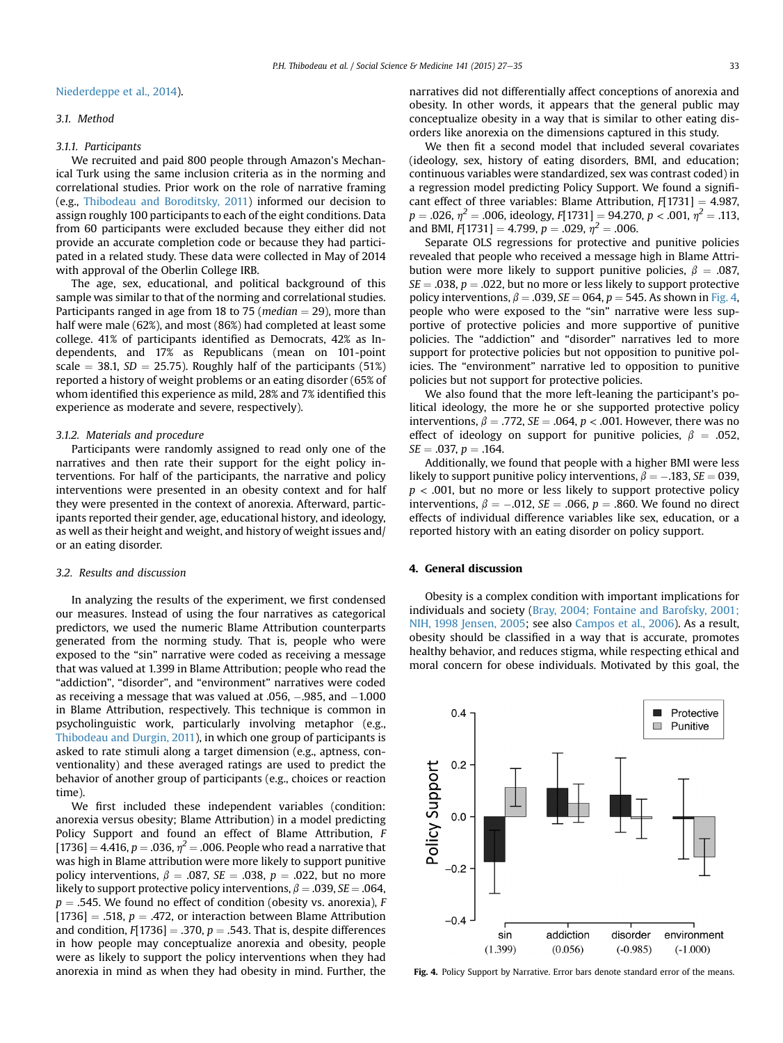## 3.1. Method

## 3.1.1. Participants

We recruited and paid 800 people through Amazon's Mechanical Turk using the same inclusion criteria as in the norming and correlational studies. Prior work on the role of narrative framing (e.g., [Thibodeau and Boroditsky, 2011\)](#page-8-0) informed our decision to assign roughly 100 participants to each of the eight conditions. Data from 60 participants were excluded because they either did not provide an accurate completion code or because they had participated in a related study. These data were collected in May of 2014 with approval of the Oberlin College IRB.

The age, sex, educational, and political background of this sample was similar to that of the norming and correlational studies. Participants ranged in age from 18 to 75 (*median*  $=$  29), more than half were male (62%), and most (86%) had completed at least some college. 41% of participants identified as Democrats, 42% as Independents, and 17% as Republicans (mean on 101-point scale  $=$  38.1, SD  $=$  25.75). Roughly half of the participants (51%) reported a history of weight problems or an eating disorder (65% of whom identified this experience as mild, 28% and 7% identified this experience as moderate and severe, respectively).

## 3.1.2. Materials and procedure

Participants were randomly assigned to read only one of the narratives and then rate their support for the eight policy interventions. For half of the participants, the narrative and policy interventions were presented in an obesity context and for half they were presented in the context of anorexia. Afterward, participants reported their gender, age, educational history, and ideology, as well as their height and weight, and history of weight issues and/ or an eating disorder.

#### 3.2. Results and discussion

In analyzing the results of the experiment, we first condensed our measures. Instead of using the four narratives as categorical predictors, we used the numeric Blame Attribution counterparts generated from the norming study. That is, people who were exposed to the "sin" narrative were coded as receiving a message that was valued at 1.399 in Blame Attribution; people who read the "addiction", "disorder", and "environment" narratives were coded as receiving a message that was valued at  $0.056, -.985$ , and  $-1.000$ in Blame Attribution, respectively. This technique is common in psycholinguistic work, particularly involving metaphor (e.g., [Thibodeau and Durgin, 2011\)](#page-8-0), in which one group of participants is asked to rate stimuli along a target dimension (e.g., aptness, conventionality) and these averaged ratings are used to predict the behavior of another group of participants (e.g., choices or reaction time).

We first included these independent variables (condition: anorexia versus obesity; Blame Attribution) in a model predicting Policy Support and found an effect of Blame Attribution, F  $[1736] = 4.416$ ,  $p = .036$ ,  $\eta^2 = .006$ . People who read a narrative that was high in Blame attribution were more likely to support punitive policy interventions,  $\beta = .087$ ,  $SE = .038$ ,  $p = .022$ , but no more likely to support protective policy interventions,  $\beta = .039$ , SE = .064,  $p = .545$ . We found no effect of condition (obesity vs. anorexia), F  $[1736] = .518$ ,  $p = .472$ , or interaction between Blame Attribution and condition,  $F[1736] = .370$ ,  $p = .543$ . That is, despite differences in how people may conceptualize anorexia and obesity, people were as likely to support the policy interventions when they had anorexia in mind as when they had obesity in mind. Further, the narratives did not differentially affect conceptions of anorexia and obesity. In other words, it appears that the general public may conceptualize obesity in a way that is similar to other eating disorders like anorexia on the dimensions captured in this study.

We then fit a second model that included several covariates (ideology, sex, history of eating disorders, BMI, and education; continuous variables were standardized, sex was contrast coded) in a regression model predicting Policy Support. We found a significant effect of three variables: Blame Attribution,  $F[1731] = 4.987$ ,  $p = .026$ ,  $\eta^2 = .006$ , ideology,  $F[1731] = 94.270$ ,  $p < .001$ ,  $\eta^2 = .113$ , and BMI,  $F[1731] = 4.799$ ,  $p = .029$ ,  $n^2 = .006$ .

Separate OLS regressions for protective and punitive policies revealed that people who received a message high in Blame Attribution were more likely to support punitive policies,  $\beta = .087$ ,  $SE = .038$ ,  $p = .022$ , but no more or less likely to support protective policy interventions,  $\beta = .039$ ,  $SE = 064$ ,  $p = 545$ . As shown in Fig. 4, people who were exposed to the "sin" narrative were less supportive of protective policies and more supportive of punitive policies. The "addiction" and "disorder" narratives led to more support for protective policies but not opposition to punitive policies. The "environment" narrative led to opposition to punitive policies but not support for protective policies.

We also found that the more left-leaning the participant's political ideology, the more he or she supported protective policy interventions,  $\beta = .772$ ,  $SE = .064$ ,  $p < .001$ . However, there was no effect of ideology on support for punitive policies,  $\beta = .052$ ,  $SE = .037$ ,  $p = .164$ .

Additionally, we found that people with a higher BMI were less likely to support punitive policy interventions,  $\beta = -.183$ , SE = 039,  $p < .001$ , but no more or less likely to support protective policy interventions,  $\beta = -.012$ ,  $SE = .066$ ,  $p = .860$ . We found no direct effects of individual difference variables like sex, education, or a reported history with an eating disorder on policy support.

## 4. General discussion

Obesity is a complex condition with important implications for individuals and society [\(Bray, 2004; Fontaine and Barofsky, 2001;](#page-7-0) [NIH, 1998](#page-7-0) [Jensen, 2005;](#page-8-0) see also [Campos et al., 2006\)](#page-7-0). As a result, obesity should be classified in a way that is accurate, promotes healthy behavior, and reduces stigma, while respecting ethical and moral concern for obese individuals. Motivated by this goal, the



Fig. 4. Policy Support by Narrative. Error bars denote standard error of the means.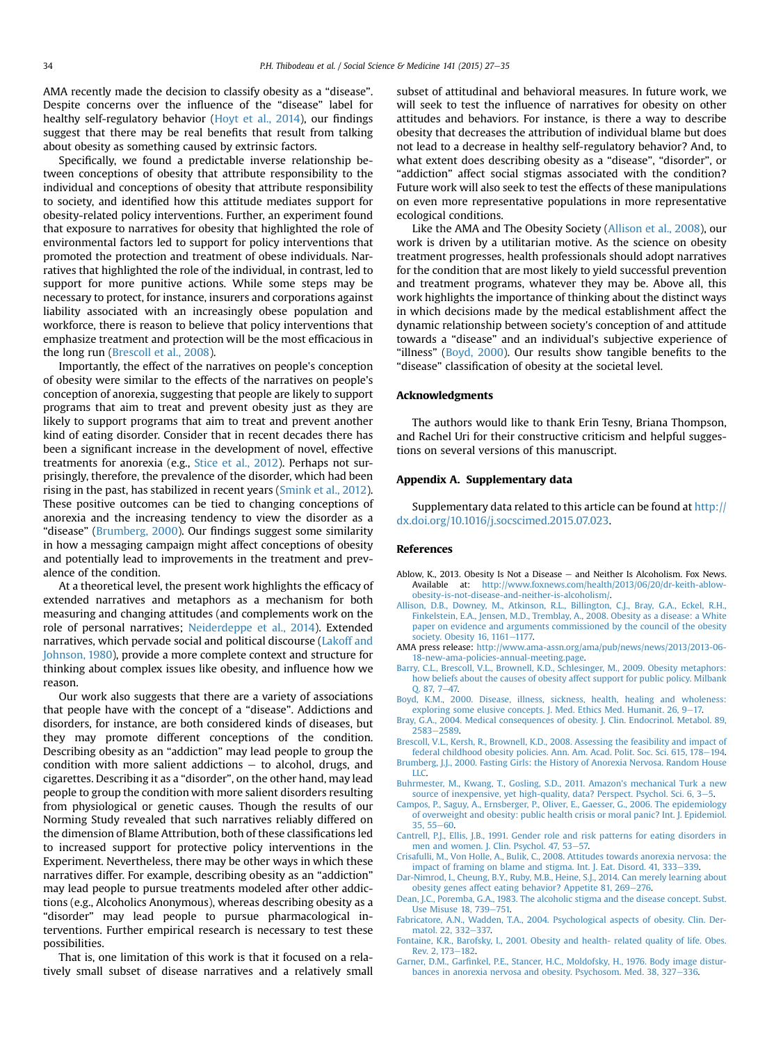<span id="page-7-0"></span>AMA recently made the decision to classify obesity as a "disease". Despite concerns over the influence of the "disease" label for healthy self-regulatory behavior [\(Hoyt et al., 2014](#page-8-0)), our findings suggest that there may be real benefits that result from talking about obesity as something caused by extrinsic factors.

Specifically, we found a predictable inverse relationship between conceptions of obesity that attribute responsibility to the individual and conceptions of obesity that attribute responsibility to society, and identified how this attitude mediates support for obesity-related policy interventions. Further, an experiment found that exposure to narratives for obesity that highlighted the role of environmental factors led to support for policy interventions that promoted the protection and treatment of obese individuals. Narratives that highlighted the role of the individual, in contrast, led to support for more punitive actions. While some steps may be necessary to protect, for instance, insurers and corporations against liability associated with an increasingly obese population and workforce, there is reason to believe that policy interventions that emphasize treatment and protection will be the most efficacious in the long run (Brescoll et al., 2008).

Importantly, the effect of the narratives on people's conception of obesity were similar to the effects of the narratives on people's conception of anorexia, suggesting that people are likely to support programs that aim to treat and prevent obesity just as they are likely to support programs that aim to treat and prevent another kind of eating disorder. Consider that in recent decades there has been a significant increase in the development of novel, effective treatments for anorexia (e.g., [Stice et al., 2012\)](#page-8-0). Perhaps not surprisingly, therefore, the prevalence of the disorder, which had been rising in the past, has stabilized in recent years ([Smink et al., 2012\)](#page-8-0). These positive outcomes can be tied to changing conceptions of anorexia and the increasing tendency to view the disorder as a "disease" (Brumberg, 2000). Our findings suggest some similarity in how a messaging campaign might affect conceptions of obesity and potentially lead to improvements in the treatment and prevalence of the condition.

At a theoretical level, the present work highlights the efficacy of extended narratives and metaphors as a mechanism for both measuring and changing attitudes (and complements work on the role of personal narratives; [Neiderdeppe et al., 2014](#page-8-0)). Extended narratives, which pervade social and political discourse ([Lakoff and](#page-8-0) [Johnson, 1980](#page-8-0)), provide a more complete context and structure for thinking about complex issues like obesity, and influence how we reason.

Our work also suggests that there are a variety of associations that people have with the concept of a "disease". Addictions and disorders, for instance, are both considered kinds of diseases, but they may promote different conceptions of the condition. Describing obesity as an "addiction" may lead people to group the condition with more salient addictions  $-$  to alcohol, drugs, and cigarettes. Describing it as a "disorder", on the other hand, may lead people to group the condition with more salient disorders resulting from physiological or genetic causes. Though the results of our Norming Study revealed that such narratives reliably differed on the dimension of Blame Attribution, both of these classifications led to increased support for protective policy interventions in the Experiment. Nevertheless, there may be other ways in which these narratives differ. For example, describing obesity as an "addiction" may lead people to pursue treatments modeled after other addictions (e.g., Alcoholics Anonymous), whereas describing obesity as a "disorder" may lead people to pursue pharmacological interventions. Further empirical research is necessary to test these possibilities.

That is, one limitation of this work is that it focused on a relatively small subset of disease narratives and a relatively small subset of attitudinal and behavioral measures. In future work, we will seek to test the influence of narratives for obesity on other attitudes and behaviors. For instance, is there a way to describe obesity that decreases the attribution of individual blame but does not lead to a decrease in healthy self-regulatory behavior? And, to what extent does describing obesity as a "disease", "disorder", or "addiction" affect social stigmas associated with the condition? Future work will also seek to test the effects of these manipulations on even more representative populations in more representative ecological conditions.

Like the AMA and The Obesity Society (Allison et al., 2008), our work is driven by a utilitarian motive. As the science on obesity treatment progresses, health professionals should adopt narratives for the condition that are most likely to yield successful prevention and treatment programs, whatever they may be. Above all, this work highlights the importance of thinking about the distinct ways in which decisions made by the medical establishment affect the dynamic relationship between society's conception of and attitude towards a "disease" and an individual's subjective experience of "illness" (Boyd, 2000). Our results show tangible benefits to the "disease" classification of obesity at the societal level.

#### Acknowledgments

The authors would like to thank Erin Tesny, Briana Thompson, and Rachel Uri for their constructive criticism and helpful suggestions on several versions of this manuscript.

## Appendix A. Supplementary data

Supplementary data related to this article can be found at [http://](http://dx.doi.org/10.1016/j.socscimed.2015.07.023) [dx.doi.org/10.1016/j.socscimed.2015.07.023](http://dx.doi.org/10.1016/j.socscimed.2015.07.023).

## References

- Ablow, K., 2013. Obesity Is Not a Disease  $-$  and Neither Is Alcoholism. Fox News. Available at: [http://www.foxnews.com/health/2013/06/20/dr-keith-ablow](http://www.foxnews.com/health/2013/06/20/dr-keith-ablow-obesity-is-not-disease-and-neither-is-alcoholism/)[obesity-is-not-disease-and-neither-is-alcoholism/.](http://www.foxnews.com/health/2013/06/20/dr-keith-ablow-obesity-is-not-disease-and-neither-is-alcoholism/)
- [Allison, D.B., Downey, M., Atkinson, R.L., Billington, C.J., Bray, G.A., Eckel, R.H.,](http://refhub.elsevier.com/S0277-9536(15)30039-3/sref2) [Finkelstein, E.A., Jensen, M.D., Tremblay, A., 2008. Obesity as a disease: a White](http://refhub.elsevier.com/S0277-9536(15)30039-3/sref2) [paper on evidence and arguments commissioned by the council of the obesity](http://refhub.elsevier.com/S0277-9536(15)30039-3/sref2) society. Obesity  $16.1161 - 1177$ .
- AMA press release: [http://www.ama-assn.org/ama/pub/news/news/2013/2013-06-](http://www.ama-assn.org/ama/pub/news/news/2013/2013-06-18-new-ama-policies-annual-meeting.page) [18-new-ama-policies-annual-meeting.page](http://www.ama-assn.org/ama/pub/news/news/2013/2013-06-18-new-ama-policies-annual-meeting.page).
- [Barry, C.L., Brescoll, V.L., Brownell, K.D., Schlesinger, M., 2009. Obesity metaphors:](http://refhub.elsevier.com/S0277-9536(15)30039-3/sref4) [how beliefs about the causes of obesity affect support for public policy. Milbank](http://refhub.elsevier.com/S0277-9536(15)30039-3/sref4)  $0.87, 7-47.$  $0.87, 7-47.$
- [Boyd, K.M., 2000. Disease, illness, sickness, health, healing and wholeness:](http://refhub.elsevier.com/S0277-9536(15)30039-3/sref5) [exploring some elusive concepts. J. Med. Ethics Med. Humanit. 26, 9](http://refhub.elsevier.com/S0277-9536(15)30039-3/sref5)–[17.](http://refhub.elsevier.com/S0277-9536(15)30039-3/sref5)
- [Bray, G.A., 2004. Medical consequences of obesity. J. Clin. Endocrinol. Metabol. 89,](http://refhub.elsevier.com/S0277-9536(15)30039-3/sref6) [2583](http://refhub.elsevier.com/S0277-9536(15)30039-3/sref6)-[2589](http://refhub.elsevier.com/S0277-9536(15)30039-3/sref6).
- [Brescoll, V.L., Kersh, R., Brownell, K.D., 2008. Assessing the feasibility and impact of](http://refhub.elsevier.com/S0277-9536(15)30039-3/sref7) [federal childhood obesity policies. Ann. Am. Acad. Polit. Soc. Sci. 615, 178](http://refhub.elsevier.com/S0277-9536(15)30039-3/sref7)-[194](http://refhub.elsevier.com/S0277-9536(15)30039-3/sref7). [Brumberg, J.J., 2000. Fasting Girls: the History of Anorexia Nervosa. Random House](http://refhub.elsevier.com/S0277-9536(15)30039-3/sref8)
- [LLC](http://refhub.elsevier.com/S0277-9536(15)30039-3/sref8). [Buhrmester, M., Kwang, T., Gosling, S.D., 2011. Amazon's mechanical Turk a new](http://refhub.elsevier.com/S0277-9536(15)30039-3/sref9) [source of inexpensive, yet high-quality, data? Perspect. Psychol. Sci. 6, 3](http://refhub.elsevier.com/S0277-9536(15)30039-3/sref9)-[5.](http://refhub.elsevier.com/S0277-9536(15)30039-3/sref9)
- [Campos, P., Saguy, A., Ernsberger, P., Oliver, E., Gaesser, G., 2006. The epidemiology](http://refhub.elsevier.com/S0277-9536(15)30039-3/sref10) [of overweight and obesity: public health crisis or moral panic? Int. J. Epidemiol.](http://refhub.elsevier.com/S0277-9536(15)30039-3/sref10)  $35.55 - 60.$  $35.55 - 60.$  $35.55 - 60.$
- [Cantrell, P.J., Ellis, J.B., 1991. Gender role and risk patterns for eating disorders in](http://refhub.elsevier.com/S0277-9536(15)30039-3/sref11) [men and women. J. Clin. Psychol. 47, 53](http://refhub.elsevier.com/S0277-9536(15)30039-3/sref11)-[57.](http://refhub.elsevier.com/S0277-9536(15)30039-3/sref11)
- [Crisafulli, M., Von Holle, A., Bulik, C., 2008. Attitudes towards anorexia nervosa: the](http://refhub.elsevier.com/S0277-9536(15)30039-3/sref12) [impact of framing on blame and stigma. Int. J. Eat. Disord. 41, 333](http://refhub.elsevier.com/S0277-9536(15)30039-3/sref12)-[339.](http://refhub.elsevier.com/S0277-9536(15)30039-3/sref12)
- [Dar-Nimrod, I., Cheung, B.Y., Ruby, M.B., Heine, S.J., 2014. Can merely learning about](http://refhub.elsevier.com/S0277-9536(15)30039-3/sref13) [obesity genes affect eating behavior? Appetite 81, 269](http://refhub.elsevier.com/S0277-9536(15)30039-3/sref13)-[276](http://refhub.elsevier.com/S0277-9536(15)30039-3/sref13).
- [Dean, J.C., Poremba, G.A., 1983. The alcoholic stigma and the disease concept. Subst.](http://refhub.elsevier.com/S0277-9536(15)30039-3/sref14) [Use Misuse 18, 739](http://refhub.elsevier.com/S0277-9536(15)30039-3/sref14)-[751.](http://refhub.elsevier.com/S0277-9536(15)30039-3/sref14)
- [Fabricatore, A.N., Wadden, T.A., 2004. Psychological aspects of obesity. Clin. Der](http://refhub.elsevier.com/S0277-9536(15)30039-3/sref15)[matol. 22, 332](http://refhub.elsevier.com/S0277-9536(15)30039-3/sref15)-[337.](http://refhub.elsevier.com/S0277-9536(15)30039-3/sref15)
- [Fontaine, K.R., Barofsky, I., 2001. Obesity and health- related quality of life. Obes.](http://refhub.elsevier.com/S0277-9536(15)30039-3/sref16) [Rev. 2, 173](http://refhub.elsevier.com/S0277-9536(15)30039-3/sref16)-[182](http://refhub.elsevier.com/S0277-9536(15)30039-3/sref16).
- Garner, D.M., Garfi[nkel, P.E., Stancer, H.C., Moldofsky, H., 1976. Body image distur](http://refhub.elsevier.com/S0277-9536(15)30039-3/sref17)[bances in anorexia nervosa and obesity. Psychosom. Med. 38, 327](http://refhub.elsevier.com/S0277-9536(15)30039-3/sref17)-[336](http://refhub.elsevier.com/S0277-9536(15)30039-3/sref17).